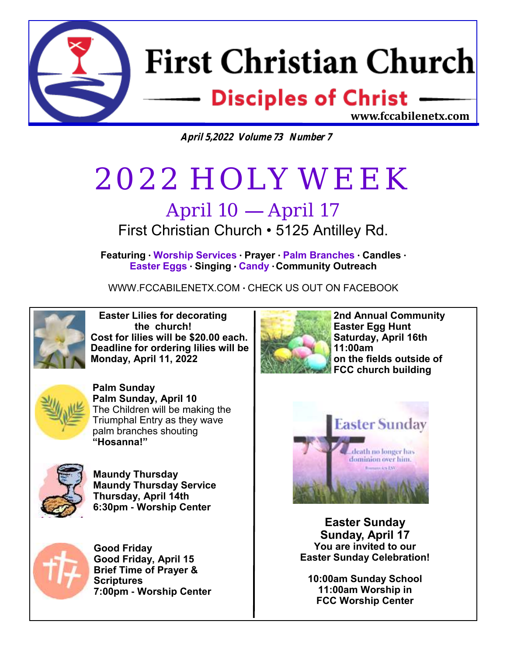

**April 5,2022 Volume 73 Number 7**

# 2022 HOLY WEEK

### April 10 — April 17 First Christian Church • 5125 Antilley Rd.

**Featuring** • **Worship Services** • **Prayer** • **Palm Branches** • **Candles** • **Easter Eggs** • **Singing** • **Candy** • **Community Outreach** 

WWW.FCCABILENETX.COM • CHECK US OUT ON FACEBOOK



 **Easter Lilies for decorating the church! Cost for lilies will be \$20.00 each. Deadline for ordering lilies will be Monday, April 11, 2022**



**Palm Sunday Palm Sunday, April 10** The Children will be making the Triumphal Entry as they wave palm branches shouting **"Hosanna!"**



**Maundy Thursday Maundy Thursday Service Thursday, April 14th 6:30pm - Worship Center**



**Good Friday Good Friday, April 15 Brief Time of Prayer & Scriptures 7:00pm - Worship Center**



**2nd Annual Community Easter Egg Hunt Saturday, April 16th 11:00am on the fields outside of FCC church building**



**Easter Sunday Sunday, April 17 You are invited to our Easter Sunday Celebration!**

**10:00am Sunday School 11:00am Worship in FCC Worship Center**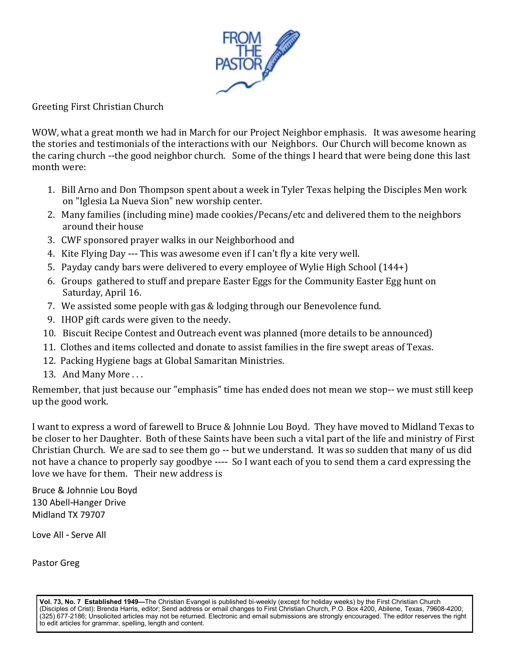

Greeting First Christian Church

WOW, what a great month we had in March for our Project Neighbor emphasis. It was awesome hearing the stories and testimonials of the interactions with our Neighbors. Our Church will become known as the caring church --the good neighbor church. Some of the things I heard that were being done this last month were:

- 1. Bill Arno and Don Thompson spent about a week in Tyler Texas helping the Disciples Men work on "Iglesia La Nueva Sion" new worship center.
- 2. Many families (including mine) made cookies/Pecans/etc and delivered them to the neighbors around their house
- 3. CWF sponsored prayer walks in our Neighborhood and
- 4. Kite Flying Day --- This was awesome even if I can't fly a kite very well.
- 5. Payday candy bars were delivered to every employee of Wylie High School (144+)
- 6. Groups gathered to stuff and prepare Easter Eggs for the Community Easter Egg hunt on Saturday, April 16.
- 7. We assisted some people with gas & lodging through our Benevolence fund.
- 9. IHOP gift cards were given to the needy.
- 10. Biscuit Recipe Contest and Outreach event was planned (more details to be announced)
- 11. Clothes and items collected and donate to assist families in the fire swept areas of Texas.
- 12. Packing Hygiene bags at Global Samaritan Ministries.
- 13. And Many More ...

Remember, that just because our "emphasis" time has ended does not mean we stop-- we must still keep up the good work.

I want to express a word of farewell to Bruce & Johnnie Lou Boyd. They have moved to Midland Texas to be closer to her Daughter. Both of these Saints have been such a vital part of the life and ministry of First Christian Church. We are sad to see them go -- but we understand. It was so sudden that many of us did not have a chance to properly say goodbye ---- So I want each of you to send them a card expressing the love we have for them. Their new address is

Bruce & Johnnie Lou Boyd 130 Abell-Hanger Drive Midland TX 79707

Love All - Serve All

Pastor Greg

**Vol. 73, No. 7 Established 1949—**The Christian Evangel is published bi-weekly (except for holiday weeks) by the First Christian Church (Disciples of Crist): Brenda Harris, editor; Send address or email changes to First Christian Church, P.O. Box 4200, Abilene, Texas, 79608-4200; (325) 677-2186; Unsolicited articles may not be returned. Electronic and email submissions are strongly encouraged. The editor reserves the right to edit articles for grammar, spelling, length and content.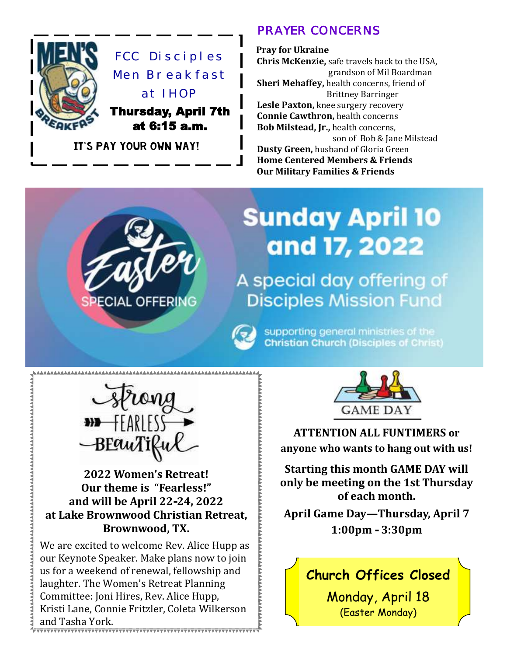

#### *PRAYER CONCERNS*

 **Pray for Ukraine Chris McKenzie,** safe travels back to the USA, grandson of Mil Boardman  **Sheri Mehaffey,** health concerns, friend of Brittney Barringer  **Lesle Paxton,** knee surgery recovery **Connie Cawthron,** health concerns  **Bob Milstead, Jr.,** health concerns, son of Bob & Jane Milstead **Dusty Green, husband of Gloria Green Home Centered Members & Friends Our Military Families & Friends**

# **Sunday April 10** and 17, 2022

A special day offering of **Disciples Mission Fund** 

> supporting general ministries of the **Christian Church (Disciples of Christ)**



ECIAL OFFERING

**2022 Women's Retreat! Our theme is "Fearless!" and will be April 22-24, 2022 at Lake Brownwood Christian Retreat, Brownwood, TX.** 

We are excited to welcome Rev. Alice Hupp as our Keynote Speaker. Make plans now to join us for a weekend of renewal, fellowship and laughter. The Women's Retreat Planning Committee: Joni Hires, Rev. Alice Hupp, Kristi Lane, Connie Fritzler, Coleta Wilkerson and Tasha York.



**ATTENTION ALL FUNTIMERS or anyone who wants to hang out with us!**

**Starting this month GAME DAY will only be meeting on the 1st Thursday of each month.**

**April Game Day—Thursday, April 7 1:00pm - 3:30pm**

### **Church Offices Closed**

Monday, April 18 (Easter Monday)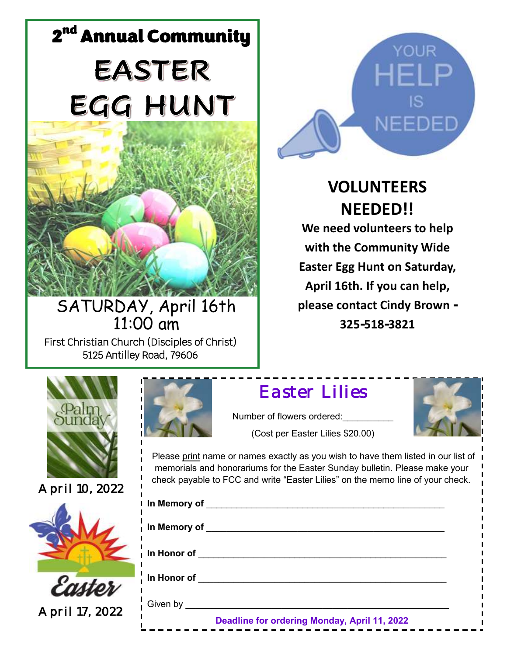# 2<sup>nd</sup> Annual Community **EASTER** EGG HUNT



SATURDAY, April 16th 11:00 am First Christian Church (Disciples of Christ) 5125 Antilley Road, 79606



*April 10, 2022* 



*April 17, 2022* 



**VOLUNTEERS NEEDED!! We need volunteers to help with the Community Wide Easter Egg Hunt on Saturday, April 16th. If you can help, please contact Cindy Brown - 325-518-3821**



## *Easter Lilies*

Number of flowers ordered: (Cost per Easter Lilies \$20.00)



 Please print name or names exactly as you wish to have them listed in our list of memorials and honorariums for the Easter Sunday bulletin. Please make your check payable to FCC and write "Easter Lilies" on the memo line of your check.

| I In Memory of ____                          |
|----------------------------------------------|
| i In Memory of                               |
| $\overline{\phantom{a}}$ In Honor of         |
| In Honor of                                  |
| Given by ______                              |
| Deadline for ordering Monday, April 11, 2022 |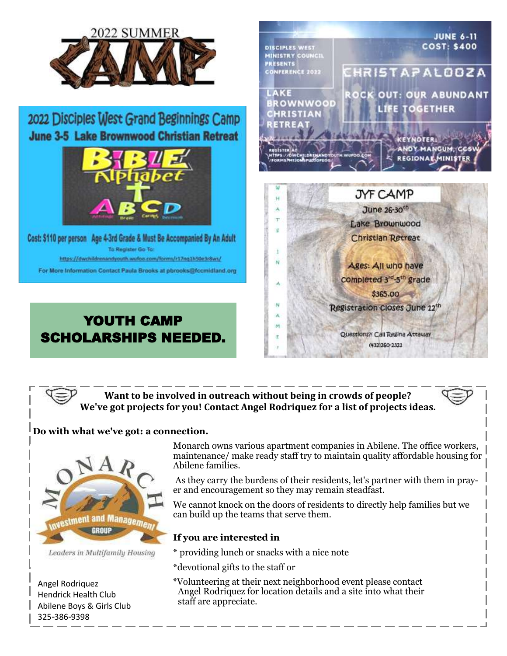

**Want to be involved in outreach without being in crowds of people? We've got projects for you! Contact Angel Rodriquez for a list of projects ideas.**

#### **Do with what we've got: a connection.**



Leaders in Multifamily Housing

Angel Rodriquez Hendrick Health Club Abilene Boys & Girls Club 325-386-9398

Monarch owns various apartment companies in Abilene. The office workers, maintenance/ make ready staff try to maintain quality affordable housing for Abilene families.

As they carry the burdens of their residents, let's partner with them in prayer and encouragement so they may remain steadfast.

We cannot knock on the doors of residents to directly help families but we can build up the teams that serve them.

#### **If you are interested in**

\* providing lunch or snacks with a nice note

\*devotional gifts to the staff or

 \*Volunteering at their next neighborhood event please contact Angel Rodriquez for location details and a site into what their staff are appreciate.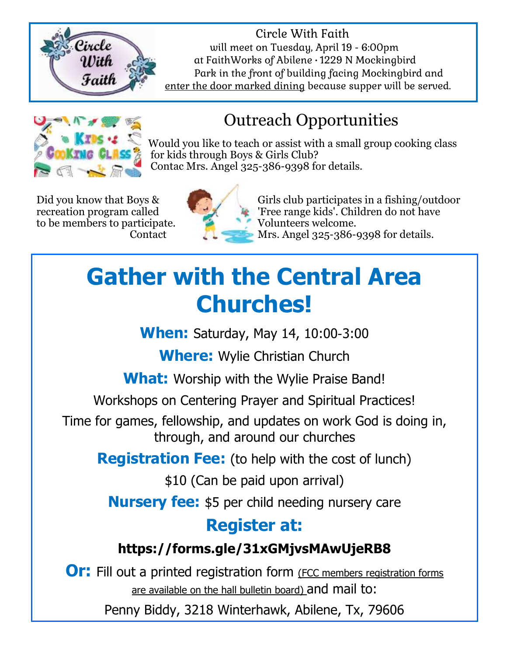

 Circle With Faith  $\mathcal{C}$ ircle will meet on Tuesday, April 19 - 6:00pm at FaithWorks of Abilene • 1229 N Mockingbird Faith  $P$ ark in the front of building facing Mockingbird and enter the door marked dining because supper will be served.



## Outreach Opportunities

 Would you like to teach or assist with a small group cooking class for kids through Boys & Girls Club? Contac Mrs. Angel 325-386-9398 for details.

to be members to participate. Volunteers welcome.



Did you know that Boys & Girls club participates in a fishing/outdoor recreation program called **The Free range kids'. Children do not have** Contact Mrs. Angel  $325-386-9398$  for details.

## **Gather with the Central Area Churches!**

**When:** Saturday, May 14, 10:00-3:00

**Where:** Wylie Christian Church

**What:** Worship with the Wylie Praise Band!

Workshops on Centering Prayer and Spiritual Practices!

Time for games, fellowship, and updates on work God is doing in, through, and around our churches

**Registration Fee:** (to help with the cost of lunch)

\$10 (Can be paid upon arrival)

**Nursery fee:** \$5 per child needing nursery care

## **Register at:**

### **https://forms.gle/31xGMjvsMAwUjeRB8**

**Or:** Fill out a printed registration form (FCC members registration forms are available on the hall bulletin board) and mail to:

Penny Biddy, 3218 Winterhawk, Abilene, Tx, 79606